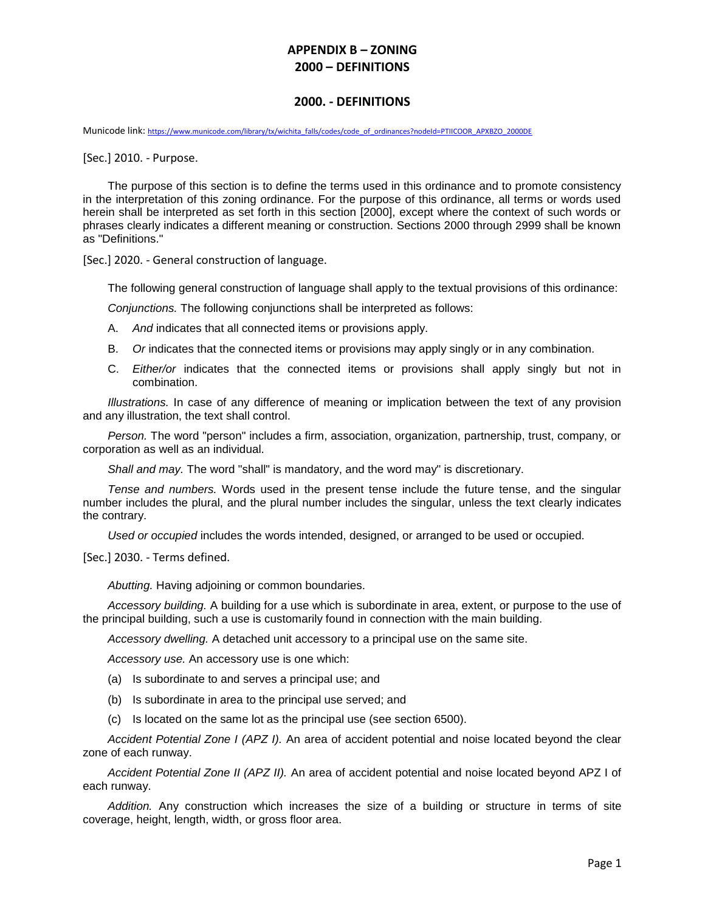#### **2000. - DEFINITIONS**

Municode link: [https://www.municode.com/library/tx/wichita\\_falls/codes/code\\_of\\_ordinances?nodeId=PTIICOOR\\_APXBZO\\_2000DE](https://www.municode.com/library/tx/wichita_falls/codes/code_of_ordinances?nodeId=PTIICOOR_APXBZO_2000DE)

[Sec.] 2010. - Purpose.

The purpose of this section is to define the terms used in this ordinance and to promote consistency in the interpretation of this zoning ordinance. For the purpose of this ordinance, all terms or words used herein shall be interpreted as set forth in this section [2000], except where the context of such words or phrases clearly indicates a different meaning or construction. Sections 2000 through 2999 shall be known as "Definitions."

[Sec.] 2020. - General construction of language.

The following general construction of language shall apply to the textual provisions of this ordinance:

*Conjunctions.* The following conjunctions shall be interpreted as follows:

- A. *And* indicates that all connected items or provisions apply.
- B. *Or* indicates that the connected items or provisions may apply singly or in any combination.
- C. *Either/or* indicates that the connected items or provisions shall apply singly but not in combination.

*Illustrations.* In case of any difference of meaning or implication between the text of any provision and any illustration, the text shall control.

*Person.* The word "person" includes a firm, association, organization, partnership, trust, company, or corporation as well as an individual.

*Shall and may.* The word "shall" is mandatory, and the word may" is discretionary.

*Tense and numbers.* Words used in the present tense include the future tense, and the singular number includes the plural, and the plural number includes the singular, unless the text clearly indicates the contrary.

*Used or occupied* includes the words intended, designed, or arranged to be used or occupied.

[Sec.] 2030. - Terms defined.

*Abutting.* Having adjoining or common boundaries.

*Accessory building.* A building for a use which is subordinate in area, extent, or purpose to the use of the principal building, such a use is customarily found in connection with the main building.

*Accessory dwelling.* A detached unit accessory to a principal use on the same site.

*Accessory use.* An accessory use is one which:

- (a) Is subordinate to and serves a principal use; and
- (b) Is subordinate in area to the principal use served; and
- (c) Is located on the same lot as the principal use (see section 6500).

*Accident Potential Zone I (APZ I).* An area of accident potential and noise located beyond the clear zone of each runway.

*Accident Potential Zone II (APZ II).* An area of accident potential and noise located beyond APZ I of each runway.

*Addition.* Any construction which increases the size of a building or structure in terms of site coverage, height, length, width, or gross floor area.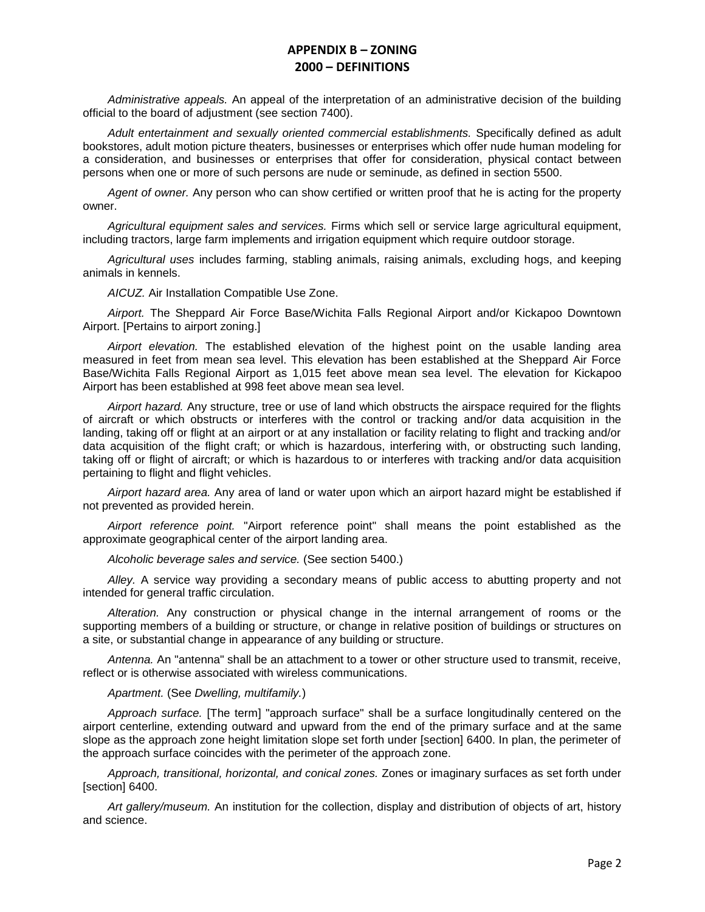*Administrative appeals.* An appeal of the interpretation of an administrative decision of the building official to the board of adjustment (see section 7400).

*Adult entertainment and sexually oriented commercial establishments.* Specifically defined as adult bookstores, adult motion picture theaters, businesses or enterprises which offer nude human modeling for a consideration, and businesses or enterprises that offer for consideration, physical contact between persons when one or more of such persons are nude or seminude, as defined in section 5500.

*Agent of owner.* Any person who can show certified or written proof that he is acting for the property owner.

*Agricultural equipment sales and services.* Firms which sell or service large agricultural equipment, including tractors, large farm implements and irrigation equipment which require outdoor storage.

*Agricultural uses* includes farming, stabling animals, raising animals, excluding hogs, and keeping animals in kennels.

*AICUZ.* Air Installation Compatible Use Zone.

*Airport.* The Sheppard Air Force Base/Wichita Falls Regional Airport and/or Kickapoo Downtown Airport. [Pertains to airport zoning.]

*Airport elevation.* The established elevation of the highest point on the usable landing area measured in feet from mean sea level. This elevation has been established at the Sheppard Air Force Base/Wichita Falls Regional Airport as 1,015 feet above mean sea level. The elevation for Kickapoo Airport has been established at 998 feet above mean sea level.

*Airport hazard.* Any structure, tree or use of land which obstructs the airspace required for the flights of aircraft or which obstructs or interferes with the control or tracking and/or data acquisition in the landing, taking off or flight at an airport or at any installation or facility relating to flight and tracking and/or data acquisition of the flight craft; or which is hazardous, interfering with, or obstructing such landing, taking off or flight of aircraft; or which is hazardous to or interferes with tracking and/or data acquisition pertaining to flight and flight vehicles.

*Airport hazard area.* Any area of land or water upon which an airport hazard might be established if not prevented as provided herein.

*Airport reference point.* "Airport reference point" shall means the point established as the approximate geographical center of the airport landing area.

*Alcoholic beverage sales and service.* (See section 5400.)

*Alley.* A service way providing a secondary means of public access to abutting property and not intended for general traffic circulation.

*Alteration.* Any construction or physical change in the internal arrangement of rooms or the supporting members of a building or structure, or change in relative position of buildings or structures on a site, or substantial change in appearance of any building or structure.

*Antenna.* An "antenna" shall be an attachment to a tower or other structure used to transmit, receive, reflect or is otherwise associated with wireless communications.

*Apartment.* (See *Dwelling, multifamily.*)

*Approach surface.* [The term] "approach surface" shall be a surface longitudinally centered on the airport centerline, extending outward and upward from the end of the primary surface and at the same slope as the approach zone height limitation slope set forth under [section] 6400. In plan, the perimeter of the approach surface coincides with the perimeter of the approach zone.

*Approach, transitional, horizontal, and conical zones.* Zones or imaginary surfaces as set forth under [section] 6400.

*Art gallery/museum.* An institution for the collection, display and distribution of objects of art, history and science.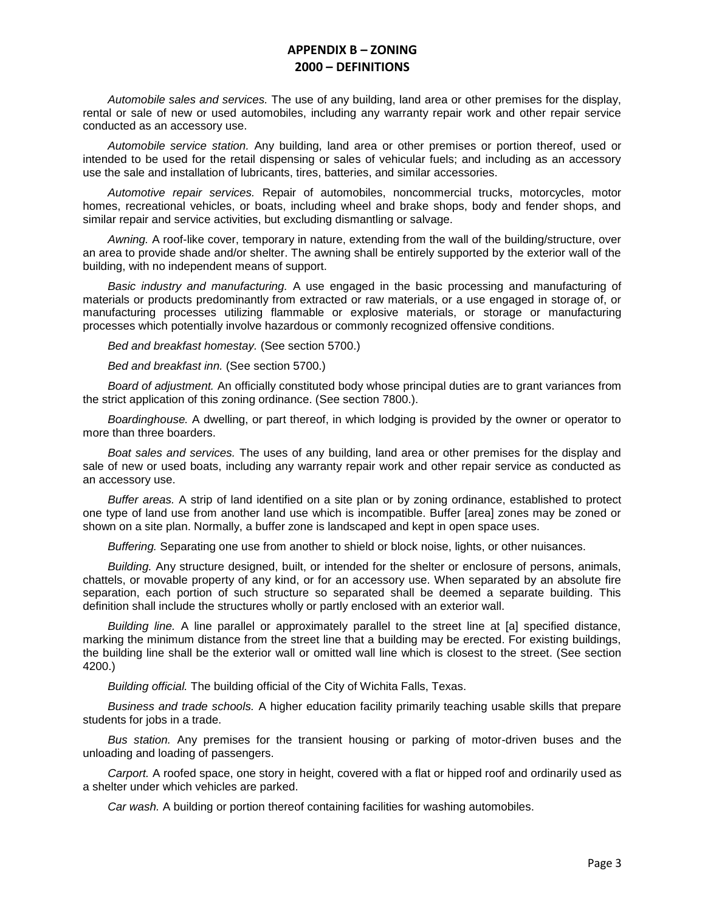*Automobile sales and services.* The use of any building, land area or other premises for the display, rental or sale of new or used automobiles, including any warranty repair work and other repair service conducted as an accessory use.

*Automobile service station.* Any building, land area or other premises or portion thereof, used or intended to be used for the retail dispensing or sales of vehicular fuels; and including as an accessory use the sale and installation of lubricants, tires, batteries, and similar accessories.

*Automotive repair services.* Repair of automobiles, noncommercial trucks, motorcycles, motor homes, recreational vehicles, or boats, including wheel and brake shops, body and fender shops, and similar repair and service activities, but excluding dismantling or salvage.

*Awning.* A roof-like cover, temporary in nature, extending from the wall of the building/structure, over an area to provide shade and/or shelter. The awning shall be entirely supported by the exterior wall of the building, with no independent means of support.

*Basic industry and manufacturing.* A use engaged in the basic processing and manufacturing of materials or products predominantly from extracted or raw materials, or a use engaged in storage of, or manufacturing processes utilizing flammable or explosive materials, or storage or manufacturing processes which potentially involve hazardous or commonly recognized offensive conditions.

*Bed and breakfast homestay.* (See section 5700.)

*Bed and breakfast inn.* (See section 5700.)

*Board of adjustment.* An officially constituted body whose principal duties are to grant variances from the strict application of this zoning ordinance. (See section 7800.).

*Boardinghouse.* A dwelling, or part thereof, in which lodging is provided by the owner or operator to more than three boarders.

*Boat sales and services.* The uses of any building, land area or other premises for the display and sale of new or used boats, including any warranty repair work and other repair service as conducted as an accessory use.

*Buffer areas.* A strip of land identified on a site plan or by zoning ordinance, established to protect one type of land use from another land use which is incompatible. Buffer [area] zones may be zoned or shown on a site plan. Normally, a buffer zone is landscaped and kept in open space uses.

*Buffering.* Separating one use from another to shield or block noise, lights, or other nuisances.

*Building.* Any structure designed, built, or intended for the shelter or enclosure of persons, animals, chattels, or movable property of any kind, or for an accessory use. When separated by an absolute fire separation, each portion of such structure so separated shall be deemed a separate building. This definition shall include the structures wholly or partly enclosed with an exterior wall.

*Building line.* A line parallel or approximately parallel to the street line at [a] specified distance, marking the minimum distance from the street line that a building may be erected. For existing buildings, the building line shall be the exterior wall or omitted wall line which is closest to the street. (See section 4200.)

*Building official.* The building official of the City of Wichita Falls, Texas.

*Business and trade schools.* A higher education facility primarily teaching usable skills that prepare students for jobs in a trade.

*Bus station.* Any premises for the transient housing or parking of motor-driven buses and the unloading and loading of passengers.

*Carport.* A roofed space, one story in height, covered with a flat or hipped roof and ordinarily used as a shelter under which vehicles are parked.

*Car wash.* A building or portion thereof containing facilities for washing automobiles.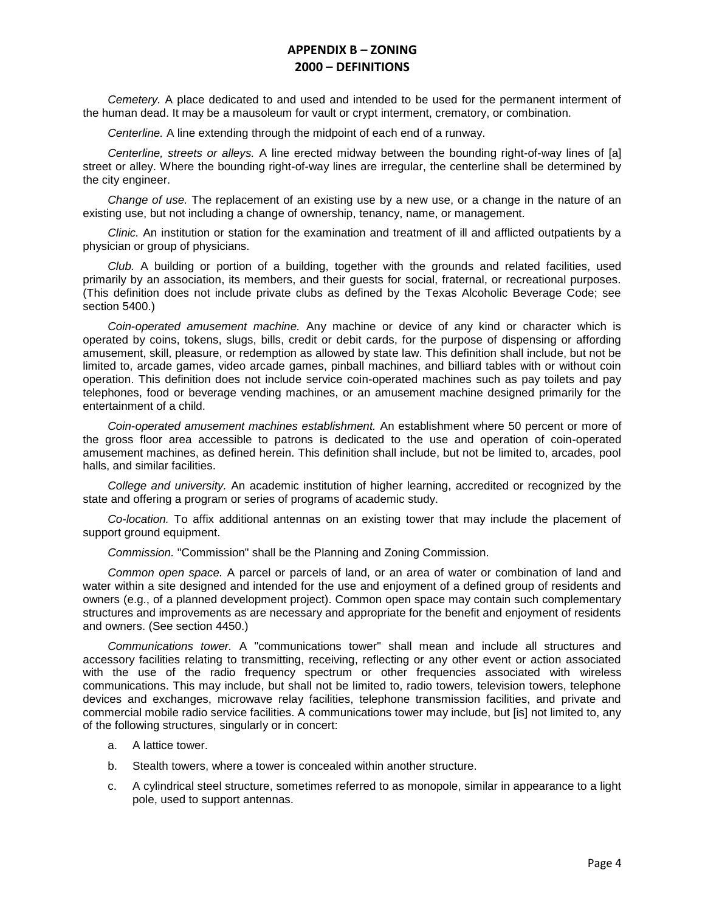*Cemetery.* A place dedicated to and used and intended to be used for the permanent interment of the human dead. It may be a mausoleum for vault or crypt interment, crematory, or combination.

*Centerline.* A line extending through the midpoint of each end of a runway.

*Centerline, streets or alleys.* A line erected midway between the bounding right-of-way lines of [a] street or alley. Where the bounding right-of-way lines are irregular, the centerline shall be determined by the city engineer.

*Change of use.* The replacement of an existing use by a new use, or a change in the nature of an existing use, but not including a change of ownership, tenancy, name, or management.

*Clinic.* An institution or station for the examination and treatment of ill and afflicted outpatients by a physician or group of physicians.

*Club.* A building or portion of a building, together with the grounds and related facilities, used primarily by an association, its members, and their guests for social, fraternal, or recreational purposes. (This definition does not include private clubs as defined by the Texas Alcoholic Beverage Code; see section 5400.)

*Coin-operated amusement machine.* Any machine or device of any kind or character which is operated by coins, tokens, slugs, bills, credit or debit cards, for the purpose of dispensing or affording amusement, skill, pleasure, or redemption as allowed by state law. This definition shall include, but not be limited to, arcade games, video arcade games, pinball machines, and billiard tables with or without coin operation. This definition does not include service coin-operated machines such as pay toilets and pay telephones, food or beverage vending machines, or an amusement machine designed primarily for the entertainment of a child.

*Coin-operated amusement machines establishment.* An establishment where 50 percent or more of the gross floor area accessible to patrons is dedicated to the use and operation of coin-operated amusement machines, as defined herein. This definition shall include, but not be limited to, arcades, pool halls, and similar facilities.

*College and university.* An academic institution of higher learning, accredited or recognized by the state and offering a program or series of programs of academic study.

*Co-location.* To affix additional antennas on an existing tower that may include the placement of support ground equipment.

*Commission.* "Commission" shall be the Planning and Zoning Commission.

*Common open space.* A parcel or parcels of land, or an area of water or combination of land and water within a site designed and intended for the use and enjoyment of a defined group of residents and owners (e.g., of a planned development project). Common open space may contain such complementary structures and improvements as are necessary and appropriate for the benefit and enjoyment of residents and owners. (See section 4450.)

*Communications tower.* A "communications tower" shall mean and include all structures and accessory facilities relating to transmitting, receiving, reflecting or any other event or action associated with the use of the radio frequency spectrum or other frequencies associated with wireless communications. This may include, but shall not be limited to, radio towers, television towers, telephone devices and exchanges, microwave relay facilities, telephone transmission facilities, and private and commercial mobile radio service facilities. A communications tower may include, but [is] not limited to, any of the following structures, singularly or in concert:

- a. A lattice tower.
- b. Stealth towers, where a tower is concealed within another structure.
- c. A cylindrical steel structure, sometimes referred to as monopole, similar in appearance to a light pole, used to support antennas.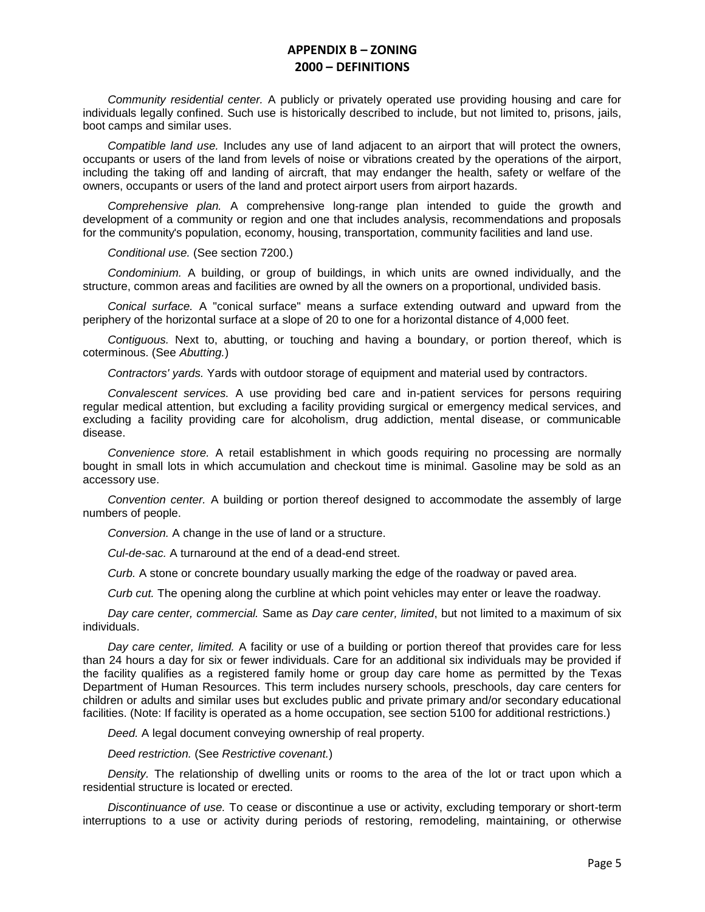*Community residential center.* A publicly or privately operated use providing housing and care for individuals legally confined. Such use is historically described to include, but not limited to, prisons, jails, boot camps and similar uses.

*Compatible land use.* Includes any use of land adjacent to an airport that will protect the owners, occupants or users of the land from levels of noise or vibrations created by the operations of the airport, including the taking off and landing of aircraft, that may endanger the health, safety or welfare of the owners, occupants or users of the land and protect airport users from airport hazards.

*Comprehensive plan.* A comprehensive long-range plan intended to guide the growth and development of a community or region and one that includes analysis, recommendations and proposals for the community's population, economy, housing, transportation, community facilities and land use.

*Conditional use.* (See section 7200.)

*Condominium.* A building, or group of buildings, in which units are owned individually, and the structure, common areas and facilities are owned by all the owners on a proportional, undivided basis.

*Conical surface.* A "conical surface" means a surface extending outward and upward from the periphery of the horizontal surface at a slope of 20 to one for a horizontal distance of 4,000 feet.

*Contiguous.* Next to, abutting, or touching and having a boundary, or portion thereof, which is coterminous. (See *Abutting.*)

*Contractors' yards.* Yards with outdoor storage of equipment and material used by contractors.

*Convalescent services.* A use providing bed care and in-patient services for persons requiring regular medical attention, but excluding a facility providing surgical or emergency medical services, and excluding a facility providing care for alcoholism, drug addiction, mental disease, or communicable disease.

*Convenience store.* A retail establishment in which goods requiring no processing are normally bought in small lots in which accumulation and checkout time is minimal. Gasoline may be sold as an accessory use.

*Convention center.* A building or portion thereof designed to accommodate the assembly of large numbers of people.

*Conversion.* A change in the use of land or a structure.

*Cul-de-sac.* A turnaround at the end of a dead-end street.

*Curb.* A stone or concrete boundary usually marking the edge of the roadway or paved area.

*Curb cut.* The opening along the curbline at which point vehicles may enter or leave the roadway.

*Day care center, commercial.* Same as *Day care center, limited*, but not limited to a maximum of six individuals.

*Day care center, limited.* A facility or use of a building or portion thereof that provides care for less than 24 hours a day for six or fewer individuals. Care for an additional six individuals may be provided if the facility qualifies as a registered family home or group day care home as permitted by the Texas Department of Human Resources. This term includes nursery schools, preschools, day care centers for children or adults and similar uses but excludes public and private primary and/or secondary educational facilities. (Note: If facility is operated as a home occupation, see section 5100 for additional restrictions.)

*Deed.* A legal document conveying ownership of real property.

*Deed restriction.* (See *Restrictive covenant.*)

*Density.* The relationship of dwelling units or rooms to the area of the lot or tract upon which a residential structure is located or erected.

*Discontinuance of use.* To cease or discontinue a use or activity, excluding temporary or short-term interruptions to a use or activity during periods of restoring, remodeling, maintaining, or otherwise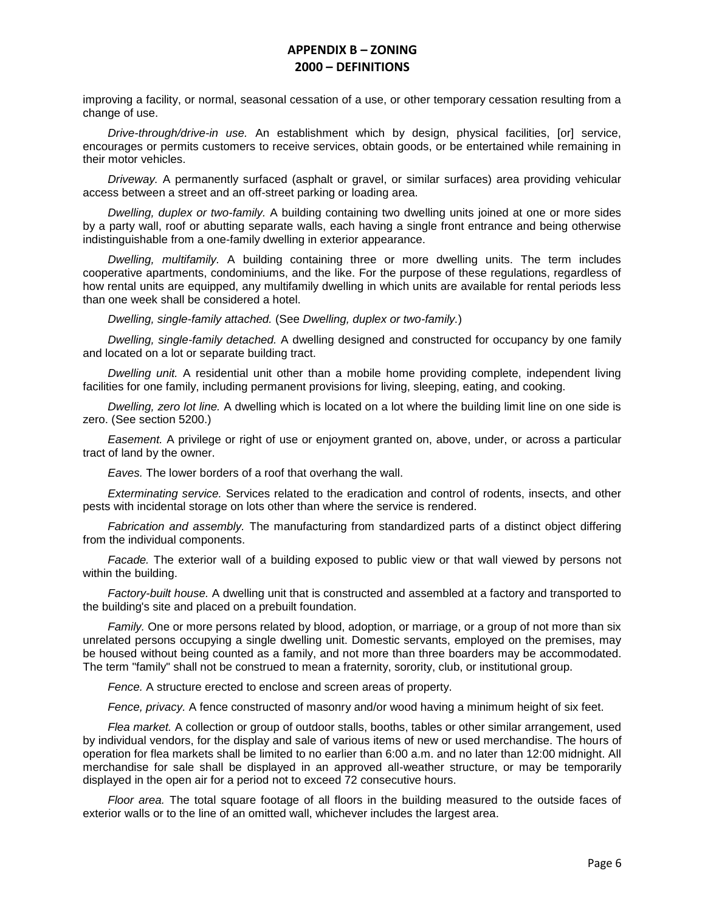improving a facility, or normal, seasonal cessation of a use, or other temporary cessation resulting from a change of use.

*Drive-through/drive-in use.* An establishment which by design, physical facilities, [or] service, encourages or permits customers to receive services, obtain goods, or be entertained while remaining in their motor vehicles.

*Driveway.* A permanently surfaced (asphalt or gravel, or similar surfaces) area providing vehicular access between a street and an off-street parking or loading area.

*Dwelling, duplex or two-family.* A building containing two dwelling units joined at one or more sides by a party wall, roof or abutting separate walls, each having a single front entrance and being otherwise indistinguishable from a one-family dwelling in exterior appearance.

*Dwelling, multifamily.* A building containing three or more dwelling units. The term includes cooperative apartments, condominiums, and the like. For the purpose of these regulations, regardless of how rental units are equipped, any multifamily dwelling in which units are available for rental periods less than one week shall be considered a hotel.

*Dwelling, single-family attached.* (See *Dwelling, duplex or two-family.*)

*Dwelling, single-family detached.* A dwelling designed and constructed for occupancy by one family and located on a lot or separate building tract.

*Dwelling unit.* A residential unit other than a mobile home providing complete, independent living facilities for one family, including permanent provisions for living, sleeping, eating, and cooking.

*Dwelling, zero lot line.* A dwelling which is located on a lot where the building limit line on one side is zero. (See section 5200.)

*Easement.* A privilege or right of use or enjoyment granted on, above, under, or across a particular tract of land by the owner.

*Eaves.* The lower borders of a roof that overhang the wall.

*Exterminating service.* Services related to the eradication and control of rodents, insects, and other pests with incidental storage on lots other than where the service is rendered.

*Fabrication and assembly.* The manufacturing from standardized parts of a distinct object differing from the individual components.

*Facade.* The exterior wall of a building exposed to public view or that wall viewed by persons not within the building.

*Factory-built house.* A dwelling unit that is constructed and assembled at a factory and transported to the building's site and placed on a prebuilt foundation.

*Family.* One or more persons related by blood, adoption, or marriage, or a group of not more than six unrelated persons occupying a single dwelling unit. Domestic servants, employed on the premises, may be housed without being counted as a family, and not more than three boarders may be accommodated. The term "family" shall not be construed to mean a fraternity, sorority, club, or institutional group.

*Fence.* A structure erected to enclose and screen areas of property.

*Fence, privacy.* A fence constructed of masonry and/or wood having a minimum height of six feet.

*Flea market.* A collection or group of outdoor stalls, booths, tables or other similar arrangement, used by individual vendors, for the display and sale of various items of new or used merchandise. The hours of operation for flea markets shall be limited to no earlier than 6:00 a.m. and no later than 12:00 midnight. All merchandise for sale shall be displayed in an approved all-weather structure, or may be temporarily displayed in the open air for a period not to exceed 72 consecutive hours.

*Floor area.* The total square footage of all floors in the building measured to the outside faces of exterior walls or to the line of an omitted wall, whichever includes the largest area.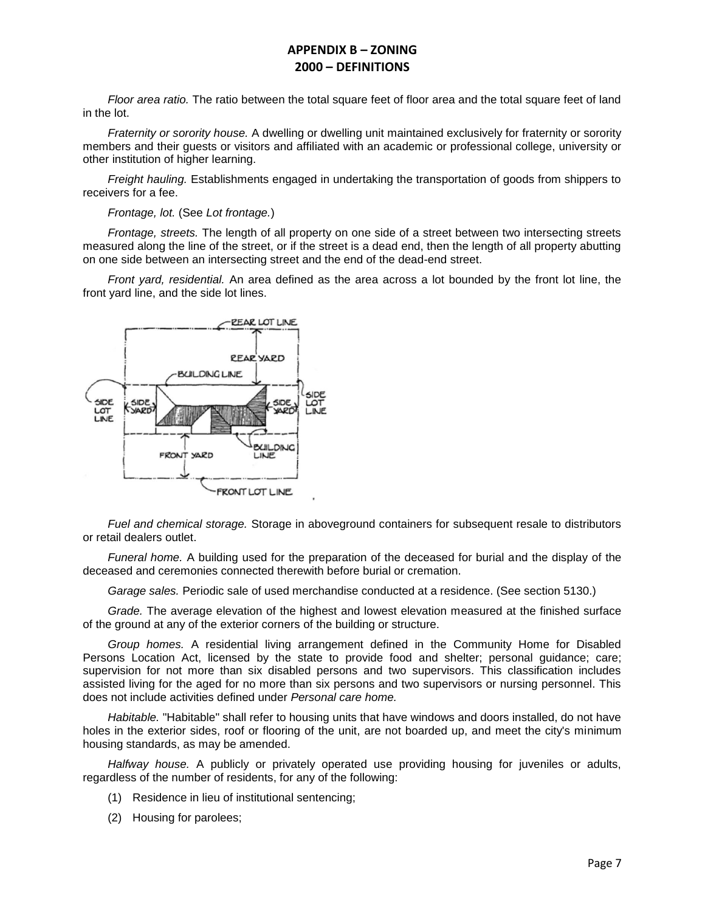*Floor area ratio.* The ratio between the total square feet of floor area and the total square feet of land in the lot.

*Fraternity or sorority house.* A dwelling or dwelling unit maintained exclusively for fraternity or sorority members and their guests or visitors and affiliated with an academic or professional college, university or other institution of higher learning.

*Freight hauling.* Establishments engaged in undertaking the transportation of goods from shippers to receivers for a fee.

#### *Frontage, lot.* (See *Lot frontage.*)

*Frontage, streets.* The length of all property on one side of a street between two intersecting streets measured along the line of the street, or if the street is a dead end, then the length of all property abutting on one side between an intersecting street and the end of the dead-end street.

*Front yard, residential.* An area defined as the area across a lot bounded by the front lot line, the front yard line, and the side lot lines.



*Fuel and chemical storage.* Storage in aboveground containers for subsequent resale to distributors or retail dealers outlet.

*Funeral home.* A building used for the preparation of the deceased for burial and the display of the deceased and ceremonies connected therewith before burial or cremation.

*Garage sales.* Periodic sale of used merchandise conducted at a residence. (See section 5130.)

*Grade.* The average elevation of the highest and lowest elevation measured at the finished surface of the ground at any of the exterior corners of the building or structure.

*Group homes.* A residential living arrangement defined in the Community Home for Disabled Persons Location Act, licensed by the state to provide food and shelter; personal guidance; care; supervision for not more than six disabled persons and two supervisors. This classification includes assisted living for the aged for no more than six persons and two supervisors or nursing personnel. This does not include activities defined under *Personal care home.*

*Habitable.* "Habitable" shall refer to housing units that have windows and doors installed, do not have holes in the exterior sides, roof or flooring of the unit, are not boarded up, and meet the city's minimum housing standards, as may be amended.

*Halfway house.* A publicly or privately operated use providing housing for juveniles or adults, regardless of the number of residents, for any of the following:

- (1) Residence in lieu of institutional sentencing;
- (2) Housing for parolees;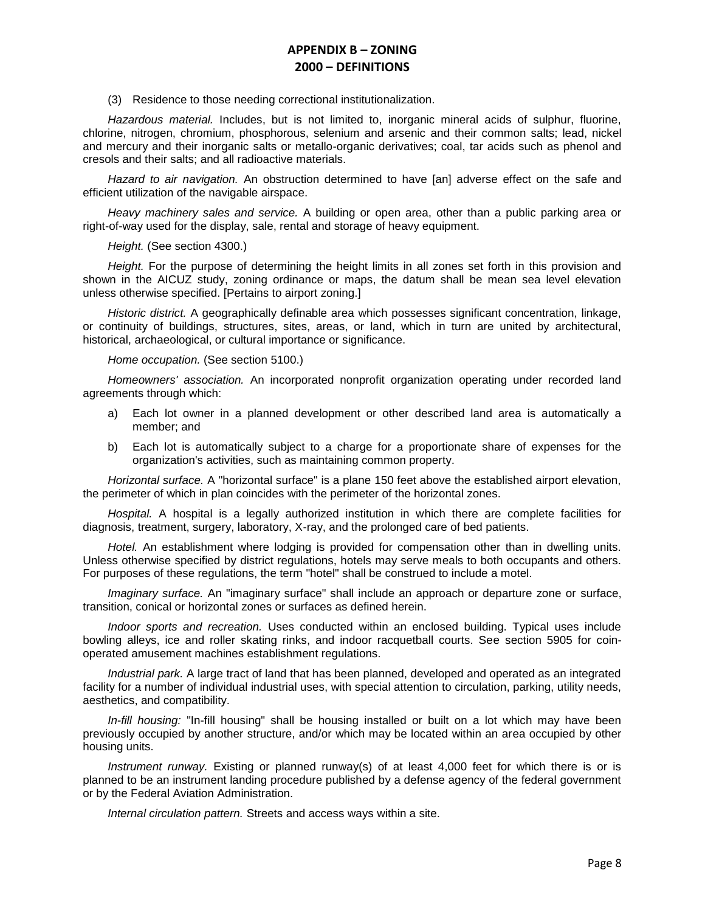(3) Residence to those needing correctional institutionalization.

*Hazardous material.* Includes, but is not limited to, inorganic mineral acids of sulphur, fluorine, chlorine, nitrogen, chromium, phosphorous, selenium and arsenic and their common salts; lead, nickel and mercury and their inorganic salts or metallo-organic derivatives; coal, tar acids such as phenol and cresols and their salts; and all radioactive materials.

*Hazard to air navigation.* An obstruction determined to have [an] adverse effect on the safe and efficient utilization of the navigable airspace.

*Heavy machinery sales and service.* A building or open area, other than a public parking area or right-of-way used for the display, sale, rental and storage of heavy equipment.

*Height.* (See section 4300.)

*Height.* For the purpose of determining the height limits in all zones set forth in this provision and shown in the AICUZ study, zoning ordinance or maps, the datum shall be mean sea level elevation unless otherwise specified. [Pertains to airport zoning.]

*Historic district.* A geographically definable area which possesses significant concentration, linkage, or continuity of buildings, structures, sites, areas, or land, which in turn are united by architectural, historical, archaeological, or cultural importance or significance.

#### *Home occupation.* (See section 5100.)

*Homeowners' association.* An incorporated nonprofit organization operating under recorded land agreements through which:

- a) Each lot owner in a planned development or other described land area is automatically a member; and
- b) Each lot is automatically subject to a charge for a proportionate share of expenses for the organization's activities, such as maintaining common property.

*Horizontal surface.* A "horizontal surface" is a plane 150 feet above the established airport elevation, the perimeter of which in plan coincides with the perimeter of the horizontal zones.

*Hospital.* A hospital is a legally authorized institution in which there are complete facilities for diagnosis, treatment, surgery, laboratory, X-ray, and the prolonged care of bed patients.

*Hotel.* An establishment where lodging is provided for compensation other than in dwelling units. Unless otherwise specified by district regulations, hotels may serve meals to both occupants and others. For purposes of these regulations, the term "hotel" shall be construed to include a motel.

*Imaginary surface.* An "imaginary surface" shall include an approach or departure zone or surface, transition, conical or horizontal zones or surfaces as defined herein.

*Indoor sports and recreation.* Uses conducted within an enclosed building. Typical uses include bowling alleys, ice and roller skating rinks, and indoor racquetball courts. See section 5905 for coinoperated amusement machines establishment regulations.

*Industrial park.* A large tract of land that has been planned, developed and operated as an integrated facility for a number of individual industrial uses, with special attention to circulation, parking, utility needs, aesthetics, and compatibility.

*In-fill housing:* "In-fill housing" shall be housing installed or built on a lot which may have been previously occupied by another structure, and/or which may be located within an area occupied by other housing units.

*Instrument runway.* Existing or planned runway(s) of at least 4,000 feet for which there is or is planned to be an instrument landing procedure published by a defense agency of the federal government or by the Federal Aviation Administration.

*Internal circulation pattern.* Streets and access ways within a site.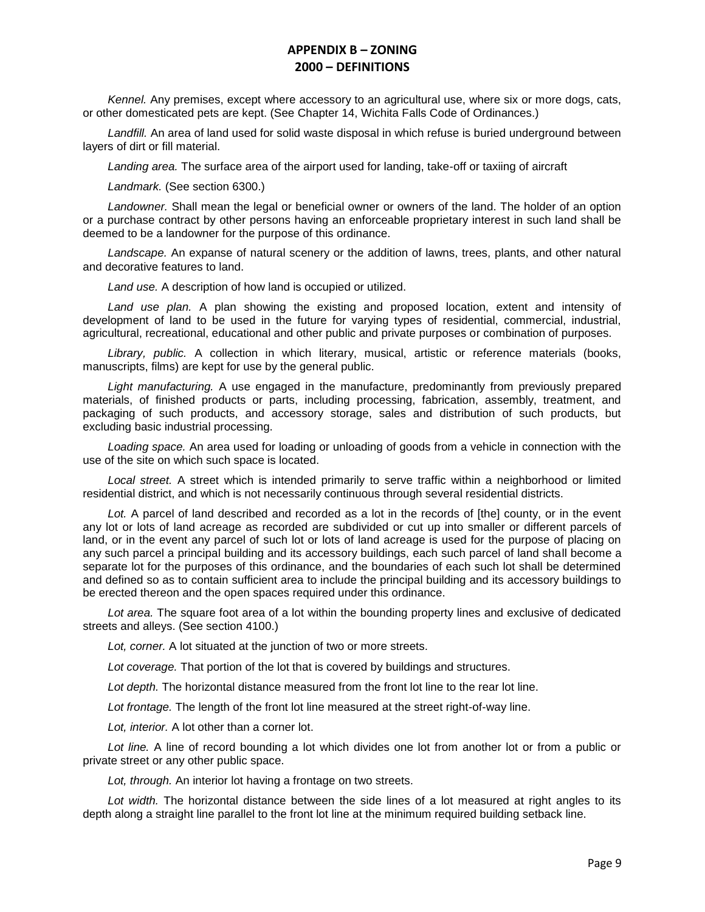*Kennel.* Any premises, except where accessory to an agricultural use, where six or more dogs, cats, or other domesticated pets are kept. (See Chapter 14, Wichita Falls Code of Ordinances.)

*Landfill.* An area of land used for solid waste disposal in which refuse is buried underground between layers of dirt or fill material.

*Landing area.* The surface area of the airport used for landing, take-off or taxiing of aircraft

*Landmark.* (See section 6300.)

*Landowner.* Shall mean the legal or beneficial owner or owners of the land. The holder of an option or a purchase contract by other persons having an enforceable proprietary interest in such land shall be deemed to be a landowner for the purpose of this ordinance.

*Landscape.* An expanse of natural scenery or the addition of lawns, trees, plants, and other natural and decorative features to land.

*Land use.* A description of how land is occupied or utilized.

*Land use plan.* A plan showing the existing and proposed location, extent and intensity of development of land to be used in the future for varying types of residential, commercial, industrial, agricultural, recreational, educational and other public and private purposes or combination of purposes.

*Library, public.* A collection in which literary, musical, artistic or reference materials (books, manuscripts, films) are kept for use by the general public.

*Light manufacturing.* A use engaged in the manufacture, predominantly from previously prepared materials, of finished products or parts, including processing, fabrication, assembly, treatment, and packaging of such products, and accessory storage, sales and distribution of such products, but excluding basic industrial processing.

*Loading space.* An area used for loading or unloading of goods from a vehicle in connection with the use of the site on which such space is located.

*Local street.* A street which is intended primarily to serve traffic within a neighborhood or limited residential district, and which is not necessarily continuous through several residential districts.

*Lot.* A parcel of land described and recorded as a lot in the records of [the] county, or in the event any lot or lots of land acreage as recorded are subdivided or cut up into smaller or different parcels of land, or in the event any parcel of such lot or lots of land acreage is used for the purpose of placing on any such parcel a principal building and its accessory buildings, each such parcel of land shall become a separate lot for the purposes of this ordinance, and the boundaries of each such lot shall be determined and defined so as to contain sufficient area to include the principal building and its accessory buildings to be erected thereon and the open spaces required under this ordinance.

*Lot area.* The square foot area of a lot within the bounding property lines and exclusive of dedicated streets and alleys. (See section 4100.)

*Lot, corner.* A lot situated at the junction of two or more streets.

*Lot coverage.* That portion of the lot that is covered by buildings and structures.

*Lot depth.* The horizontal distance measured from the front lot line to the rear lot line.

*Lot frontage.* The length of the front lot line measured at the street right-of-way line.

*Lot, interior.* A lot other than a corner lot.

*Lot line.* A line of record bounding a lot which divides one lot from another lot or from a public or private street or any other public space.

*Lot, through.* An interior lot having a frontage on two streets.

*Lot width.* The horizontal distance between the side lines of a lot measured at right angles to its depth along a straight line parallel to the front lot line at the minimum required building setback line.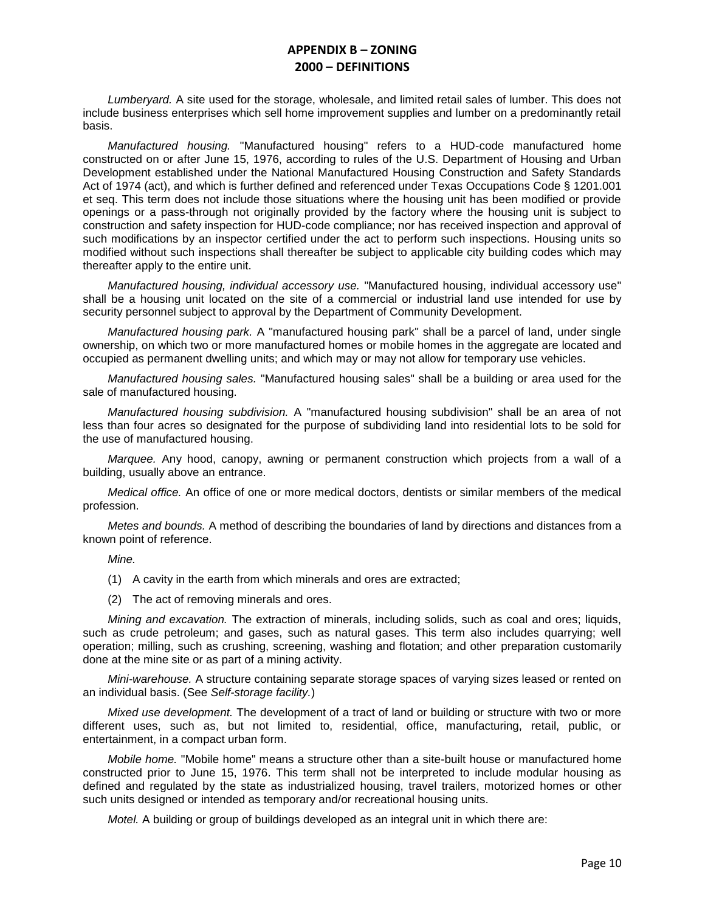*Lumberyard.* A site used for the storage, wholesale, and limited retail sales of lumber. This does not include business enterprises which sell home improvement supplies and lumber on a predominantly retail basis.

*Manufactured housing.* "Manufactured housing" refers to a HUD-code manufactured home constructed on or after June 15, 1976, according to rules of the U.S. Department of Housing and Urban Development established under the National Manufactured Housing Construction and Safety Standards Act of 1974 (act), and which is further defined and referenced under Texas Occupations Code § 1201.001 et seq. This term does not include those situations where the housing unit has been modified or provide openings or a pass-through not originally provided by the factory where the housing unit is subject to construction and safety inspection for HUD-code compliance; nor has received inspection and approval of such modifications by an inspector certified under the act to perform such inspections. Housing units so modified without such inspections shall thereafter be subject to applicable city building codes which may thereafter apply to the entire unit.

*Manufactured housing, individual accessory use.* "Manufactured housing, individual accessory use" shall be a housing unit located on the site of a commercial or industrial land use intended for use by security personnel subject to approval by the Department of Community Development.

*Manufactured housing park.* A "manufactured housing park" shall be a parcel of land, under single ownership, on which two or more manufactured homes or mobile homes in the aggregate are located and occupied as permanent dwelling units; and which may or may not allow for temporary use vehicles.

*Manufactured housing sales.* "Manufactured housing sales" shall be a building or area used for the sale of manufactured housing.

*Manufactured housing subdivision.* A "manufactured housing subdivision" shall be an area of not less than four acres so designated for the purpose of subdividing land into residential lots to be sold for the use of manufactured housing.

*Marquee.* Any hood, canopy, awning or permanent construction which projects from a wall of a building, usually above an entrance.

*Medical office.* An office of one or more medical doctors, dentists or similar members of the medical profession.

*Metes and bounds.* A method of describing the boundaries of land by directions and distances from a known point of reference.

*Mine.*

- (1) A cavity in the earth from which minerals and ores are extracted;
- (2) The act of removing minerals and ores.

*Mining and excavation.* The extraction of minerals, including solids, such as coal and ores; liquids, such as crude petroleum; and gases, such as natural gases. This term also includes quarrying; well operation; milling, such as crushing, screening, washing and flotation; and other preparation customarily done at the mine site or as part of a mining activity.

*Mini-warehouse.* A structure containing separate storage spaces of varying sizes leased or rented on an individual basis. (See *Self-storage facility.*)

*Mixed use development.* The development of a tract of land or building or structure with two or more different uses, such as, but not limited to, residential, office, manufacturing, retail, public, or entertainment, in a compact urban form.

*Mobile home.* "Mobile home" means a structure other than a site-built house or manufactured home constructed prior to June 15, 1976. This term shall not be interpreted to include modular housing as defined and regulated by the state as industrialized housing, travel trailers, motorized homes or other such units designed or intended as temporary and/or recreational housing units.

*Motel.* A building or group of buildings developed as an integral unit in which there are: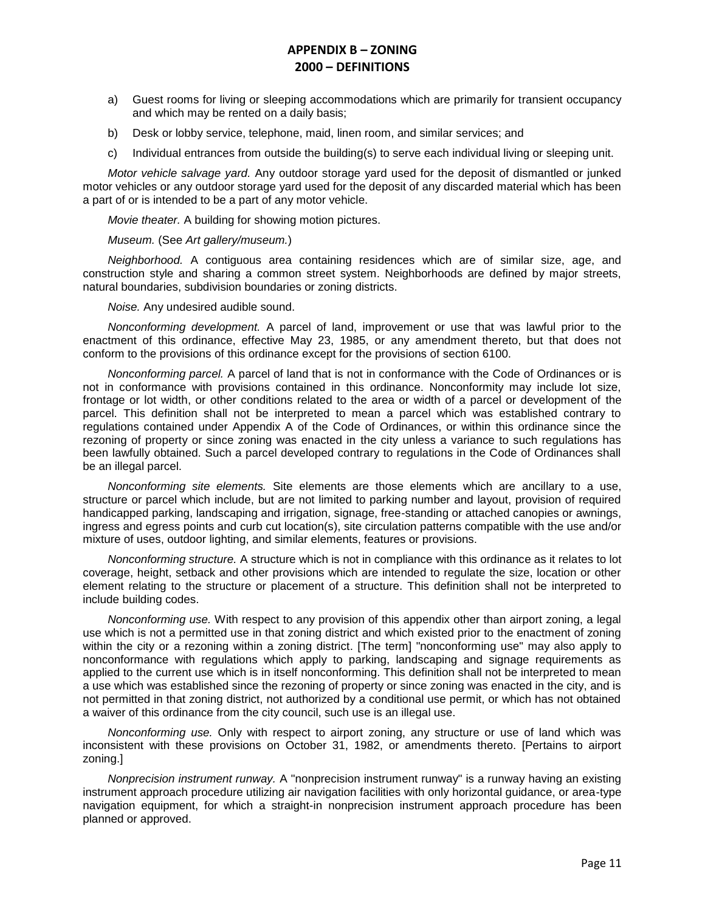- a) Guest rooms for living or sleeping accommodations which are primarily for transient occupancy and which may be rented on a daily basis;
- b) Desk or lobby service, telephone, maid, linen room, and similar services; and
- c) Individual entrances from outside the building(s) to serve each individual living or sleeping unit.

*Motor vehicle salvage yard.* Any outdoor storage yard used for the deposit of dismantled or junked motor vehicles or any outdoor storage yard used for the deposit of any discarded material which has been a part of or is intended to be a part of any motor vehicle.

*Movie theater.* A building for showing motion pictures.

#### *Museum.* (See *Art gallery/museum.*)

*Neighborhood.* A contiguous area containing residences which are of similar size, age, and construction style and sharing a common street system. Neighborhoods are defined by major streets, natural boundaries, subdivision boundaries or zoning districts.

*Noise.* Any undesired audible sound.

*Nonconforming development.* A parcel of land, improvement or use that was lawful prior to the enactment of this ordinance, effective May 23, 1985, or any amendment thereto, but that does not conform to the provisions of this ordinance except for the provisions of section 6100.

*Nonconforming parcel.* A parcel of land that is not in conformance with the Code of Ordinances or is not in conformance with provisions contained in this ordinance. Nonconformity may include lot size, frontage or lot width, or other conditions related to the area or width of a parcel or development of the parcel. This definition shall not be interpreted to mean a parcel which was established contrary to regulations contained under Appendix A of the Code of Ordinances, or within this ordinance since the rezoning of property or since zoning was enacted in the city unless a variance to such regulations has been lawfully obtained. Such a parcel developed contrary to regulations in the Code of Ordinances shall be an illegal parcel.

*Nonconforming site elements.* Site elements are those elements which are ancillary to a use, structure or parcel which include, but are not limited to parking number and layout, provision of required handicapped parking, landscaping and irrigation, signage, free-standing or attached canopies or awnings, ingress and egress points and curb cut location(s), site circulation patterns compatible with the use and/or mixture of uses, outdoor lighting, and similar elements, features or provisions.

*Nonconforming structure.* A structure which is not in compliance with this ordinance as it relates to lot coverage, height, setback and other provisions which are intended to regulate the size, location or other element relating to the structure or placement of a structure. This definition shall not be interpreted to include building codes.

*Nonconforming use.* With respect to any provision of this appendix other than airport zoning, a legal use which is not a permitted use in that zoning district and which existed prior to the enactment of zoning within the city or a rezoning within a zoning district. [The term] "nonconforming use" may also apply to nonconformance with regulations which apply to parking, landscaping and signage requirements as applied to the current use which is in itself nonconforming. This definition shall not be interpreted to mean a use which was established since the rezoning of property or since zoning was enacted in the city, and is not permitted in that zoning district, not authorized by a conditional use permit, or which has not obtained a waiver of this ordinance from the city council, such use is an illegal use.

*Nonconforming use.* Only with respect to airport zoning, any structure or use of land which was inconsistent with these provisions on October 31, 1982, or amendments thereto. [Pertains to airport zoning.]

*Nonprecision instrument runway.* A "nonprecision instrument runway" is a runway having an existing instrument approach procedure utilizing air navigation facilities with only horizontal guidance, or area-type navigation equipment, for which a straight-in nonprecision instrument approach procedure has been planned or approved.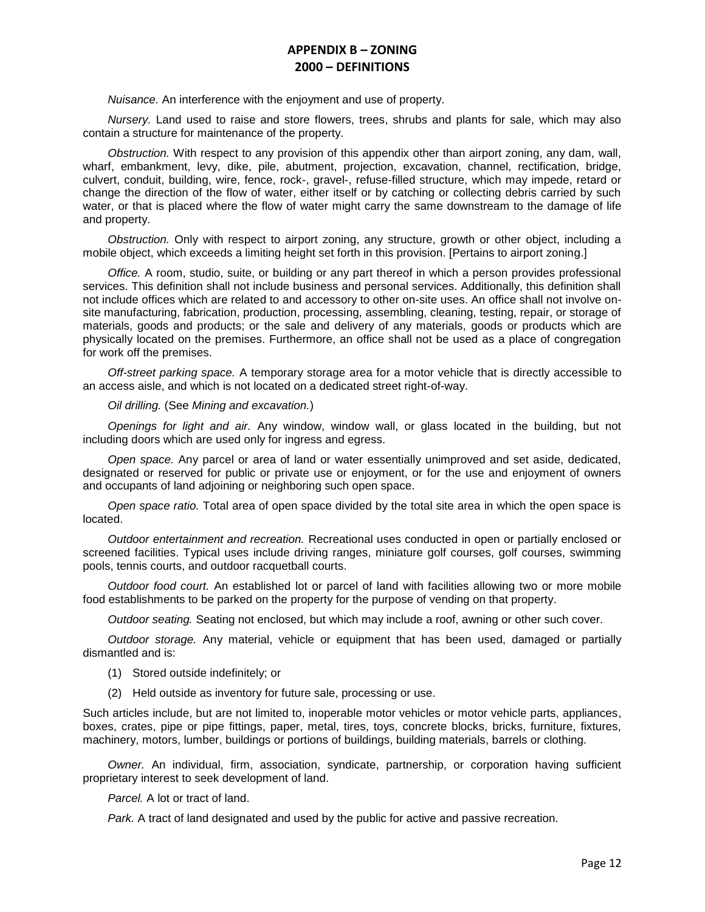*Nuisance.* An interference with the enjoyment and use of property.

*Nursery.* Land used to raise and store flowers, trees, shrubs and plants for sale, which may also contain a structure for maintenance of the property.

*Obstruction.* With respect to any provision of this appendix other than airport zoning, any dam, wall, wharf, embankment, levy, dike, pile, abutment, projection, excavation, channel, rectification, bridge, culvert, conduit, building, wire, fence, rock-, gravel-, refuse-filled structure, which may impede, retard or change the direction of the flow of water, either itself or by catching or collecting debris carried by such water, or that is placed where the flow of water might carry the same downstream to the damage of life and property.

*Obstruction.* Only with respect to airport zoning, any structure, growth or other object, including a mobile object, which exceeds a limiting height set forth in this provision. [Pertains to airport zoning.]

*Office.* A room, studio, suite, or building or any part thereof in which a person provides professional services. This definition shall not include business and personal services. Additionally, this definition shall not include offices which are related to and accessory to other on-site uses. An office shall not involve onsite manufacturing, fabrication, production, processing, assembling, cleaning, testing, repair, or storage of materials, goods and products; or the sale and delivery of any materials, goods or products which are physically located on the premises. Furthermore, an office shall not be used as a place of congregation for work off the premises.

*Off-street parking space.* A temporary storage area for a motor vehicle that is directly accessible to an access aisle, and which is not located on a dedicated street right-of-way.

*Oil drilling.* (See *Mining and excavation.*)

*Openings for light and air.* Any window, window wall, or glass located in the building, but not including doors which are used only for ingress and egress.

*Open space.* Any parcel or area of land or water essentially unimproved and set aside, dedicated, designated or reserved for public or private use or enjoyment, or for the use and enjoyment of owners and occupants of land adjoining or neighboring such open space.

*Open space ratio.* Total area of open space divided by the total site area in which the open space is located.

*Outdoor entertainment and recreation.* Recreational uses conducted in open or partially enclosed or screened facilities. Typical uses include driving ranges, miniature golf courses, golf courses, swimming pools, tennis courts, and outdoor racquetball courts.

*Outdoor food court.* An established lot or parcel of land with facilities allowing two or more mobile food establishments to be parked on the property for the purpose of vending on that property.

*Outdoor seating.* Seating not enclosed, but which may include a roof, awning or other such cover.

*Outdoor storage.* Any material, vehicle or equipment that has been used, damaged or partially dismantled and is:

- (1) Stored outside indefinitely; or
- (2) Held outside as inventory for future sale, processing or use.

Such articles include, but are not limited to, inoperable motor vehicles or motor vehicle parts, appliances, boxes, crates, pipe or pipe fittings, paper, metal, tires, toys, concrete blocks, bricks, furniture, fixtures, machinery, motors, lumber, buildings or portions of buildings, building materials, barrels or clothing.

*Owner.* An individual, firm, association, syndicate, partnership, or corporation having sufficient proprietary interest to seek development of land.

*Parcel.* A lot or tract of land.

*Park.* A tract of land designated and used by the public for active and passive recreation.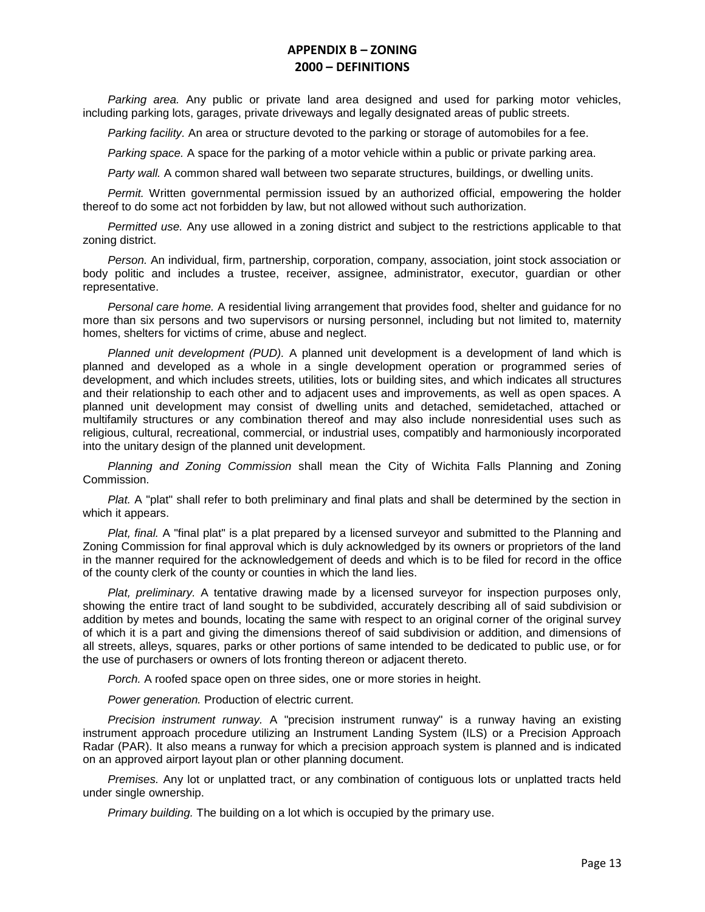*Parking area.* Any public or private land area designed and used for parking motor vehicles, including parking lots, garages, private driveways and legally designated areas of public streets.

*Parking facility.* An area or structure devoted to the parking or storage of automobiles for a fee.

*Parking space.* A space for the parking of a motor vehicle within a public or private parking area.

*Party wall.* A common shared wall between two separate structures, buildings, or dwelling units.

*Permit.* Written governmental permission issued by an authorized official, empowering the holder thereof to do some act not forbidden by law, but not allowed without such authorization.

*Permitted use.* Any use allowed in a zoning district and subject to the restrictions applicable to that zoning district.

*Person.* An individual, firm, partnership, corporation, company, association, joint stock association or body politic and includes a trustee, receiver, assignee, administrator, executor, guardian or other representative.

*Personal care home.* A residential living arrangement that provides food, shelter and guidance for no more than six persons and two supervisors or nursing personnel, including but not limited to, maternity homes, shelters for victims of crime, abuse and neglect.

*Planned unit development (PUD).* A planned unit development is a development of land which is planned and developed as a whole in a single development operation or programmed series of development, and which includes streets, utilities, lots or building sites, and which indicates all structures and their relationship to each other and to adjacent uses and improvements, as well as open spaces. A planned unit development may consist of dwelling units and detached, semidetached, attached or multifamily structures or any combination thereof and may also include nonresidential uses such as religious, cultural, recreational, commercial, or industrial uses, compatibly and harmoniously incorporated into the unitary design of the planned unit development.

*Planning and Zoning Commission* shall mean the City of Wichita Falls Planning and Zoning Commission.

*Plat.* A "plat" shall refer to both preliminary and final plats and shall be determined by the section in which it appears.

*Plat, final.* A "final plat" is a plat prepared by a licensed surveyor and submitted to the Planning and Zoning Commission for final approval which is duly acknowledged by its owners or proprietors of the land in the manner required for the acknowledgement of deeds and which is to be filed for record in the office of the county clerk of the county or counties in which the land lies.

*Plat, preliminary.* A tentative drawing made by a licensed surveyor for inspection purposes only, showing the entire tract of land sought to be subdivided, accurately describing all of said subdivision or addition by metes and bounds, locating the same with respect to an original corner of the original survey of which it is a part and giving the dimensions thereof of said subdivision or addition, and dimensions of all streets, alleys, squares, parks or other portions of same intended to be dedicated to public use, or for the use of purchasers or owners of lots fronting thereon or adjacent thereto.

*Porch.* A roofed space open on three sides, one or more stories in height.

*Power generation.* Production of electric current.

*Precision instrument runway.* A "precision instrument runway" is a runway having an existing instrument approach procedure utilizing an Instrument Landing System (ILS) or a Precision Approach Radar (PAR). It also means a runway for which a precision approach system is planned and is indicated on an approved airport layout plan or other planning document.

*Premises.* Any lot or unplatted tract, or any combination of contiguous lots or unplatted tracts held under single ownership.

*Primary building.* The building on a lot which is occupied by the primary use.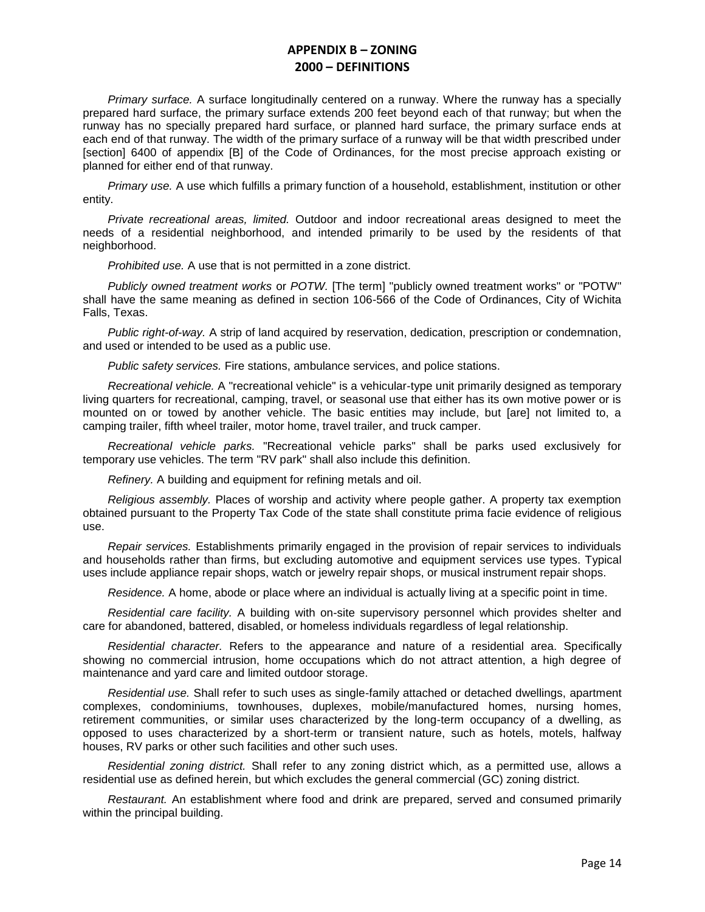*Primary surface.* A surface longitudinally centered on a runway. Where the runway has a specially prepared hard surface, the primary surface extends 200 feet beyond each of that runway; but when the runway has no specially prepared hard surface, or planned hard surface, the primary surface ends at each end of that runway. The width of the primary surface of a runway will be that width prescribed under [section] 6400 of appendix [B] of the Code of Ordinances, for the most precise approach existing or planned for either end of that runway.

*Primary use.* A use which fulfills a primary function of a household, establishment, institution or other entity.

*Private recreational areas, limited.* Outdoor and indoor recreational areas designed to meet the needs of a residential neighborhood, and intended primarily to be used by the residents of that neighborhood.

*Prohibited use.* A use that is not permitted in a zone district.

*Publicly owned treatment works* or *POTW.* [The term] "publicly owned treatment works" or "POTW" shall have the same meaning as defined in section 106-566 of the Code of Ordinances, City of Wichita Falls, Texas.

*Public right-of-way.* A strip of land acquired by reservation, dedication, prescription or condemnation, and used or intended to be used as a public use.

*Public safety services.* Fire stations, ambulance services, and police stations.

*Recreational vehicle.* A "recreational vehicle" is a vehicular-type unit primarily designed as temporary living quarters for recreational, camping, travel, or seasonal use that either has its own motive power or is mounted on or towed by another vehicle. The basic entities may include, but [are] not limited to, a camping trailer, fifth wheel trailer, motor home, travel trailer, and truck camper.

*Recreational vehicle parks.* "Recreational vehicle parks" shall be parks used exclusively for temporary use vehicles. The term "RV park" shall also include this definition.

*Refinery.* A building and equipment for refining metals and oil.

*Religious assembly.* Places of worship and activity where people gather. A property tax exemption obtained pursuant to the Property Tax Code of the state shall constitute prima facie evidence of religious use.

*Repair services.* Establishments primarily engaged in the provision of repair services to individuals and households rather than firms, but excluding automotive and equipment services use types. Typical uses include appliance repair shops, watch or jewelry repair shops, or musical instrument repair shops.

*Residence.* A home, abode or place where an individual is actually living at a specific point in time.

*Residential care facility.* A building with on-site supervisory personnel which provides shelter and care for abandoned, battered, disabled, or homeless individuals regardless of legal relationship.

*Residential character.* Refers to the appearance and nature of a residential area. Specifically showing no commercial intrusion, home occupations which do not attract attention, a high degree of maintenance and yard care and limited outdoor storage.

*Residential use.* Shall refer to such uses as single-family attached or detached dwellings, apartment complexes, condominiums, townhouses, duplexes, mobile/manufactured homes, nursing homes, retirement communities, or similar uses characterized by the long-term occupancy of a dwelling, as opposed to uses characterized by a short-term or transient nature, such as hotels, motels, halfway houses, RV parks or other such facilities and other such uses.

*Residential zoning district.* Shall refer to any zoning district which, as a permitted use, allows a residential use as defined herein, but which excludes the general commercial (GC) zoning district.

*Restaurant.* An establishment where food and drink are prepared, served and consumed primarily within the principal building.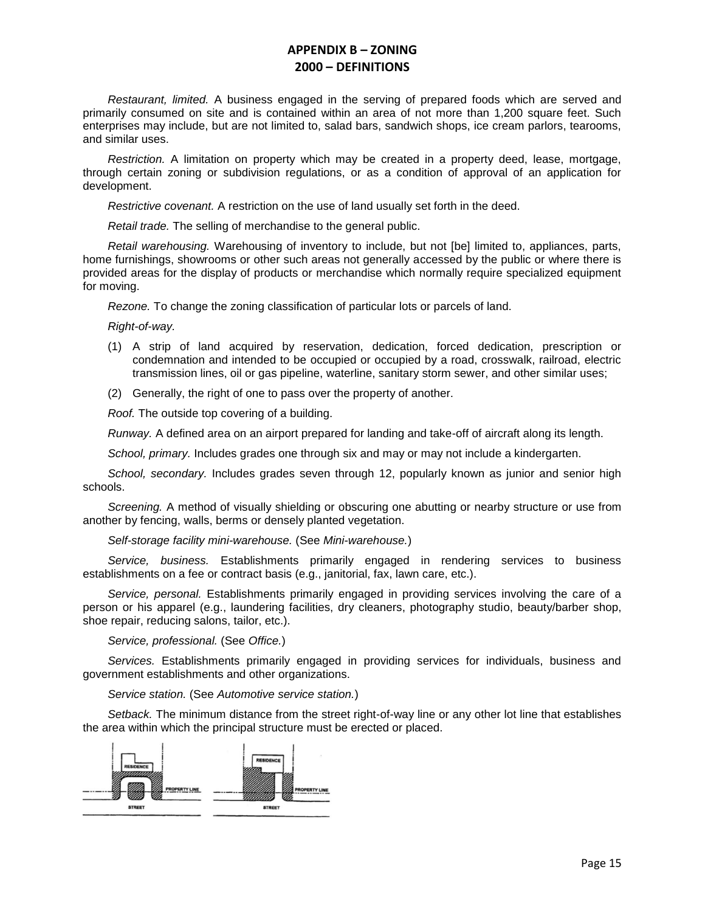*Restaurant, limited.* A business engaged in the serving of prepared foods which are served and primarily consumed on site and is contained within an area of not more than 1,200 square feet. Such enterprises may include, but are not limited to, salad bars, sandwich shops, ice cream parlors, tearooms, and similar uses.

*Restriction.* A limitation on property which may be created in a property deed, lease, mortgage, through certain zoning or subdivision regulations, or as a condition of approval of an application for development.

*Restrictive covenant.* A restriction on the use of land usually set forth in the deed.

*Retail trade.* The selling of merchandise to the general public.

*Retail warehousing.* Warehousing of inventory to include, but not [be] limited to, appliances, parts, home furnishings, showrooms or other such areas not generally accessed by the public or where there is provided areas for the display of products or merchandise which normally require specialized equipment for moving.

*Rezone.* To change the zoning classification of particular lots or parcels of land.

*Right-of-way.*

- (1) A strip of land acquired by reservation, dedication, forced dedication, prescription or condemnation and intended to be occupied or occupied by a road, crosswalk, railroad, electric transmission lines, oil or gas pipeline, waterline, sanitary storm sewer, and other similar uses;
- (2) Generally, the right of one to pass over the property of another.

*Roof.* The outside top covering of a building.

*Runway.* A defined area on an airport prepared for landing and take-off of aircraft along its length.

*School, primary.* Includes grades one through six and may or may not include a kindergarten.

*School, secondary.* Includes grades seven through 12, popularly known as junior and senior high schools.

*Screening.* A method of visually shielding or obscuring one abutting or nearby structure or use from another by fencing, walls, berms or densely planted vegetation.

*Self-storage facility mini-warehouse.* (See *Mini-warehouse.*)

*Service, business.* Establishments primarily engaged in rendering services to business establishments on a fee or contract basis (e.g., janitorial, fax, lawn care, etc.).

*Service, personal.* Establishments primarily engaged in providing services involving the care of a person or his apparel (e.g., laundering facilities, dry cleaners, photography studio, beauty/barber shop, shoe repair, reducing salons, tailor, etc.).

*Service, professional.* (See *Office.*)

*Services.* Establishments primarily engaged in providing services for individuals, business and government establishments and other organizations.

*Service station.* (See *Automotive service station.*)

*Setback.* The minimum distance from the street right-of-way line or any other lot line that establishes the area within which the principal structure must be erected or placed.

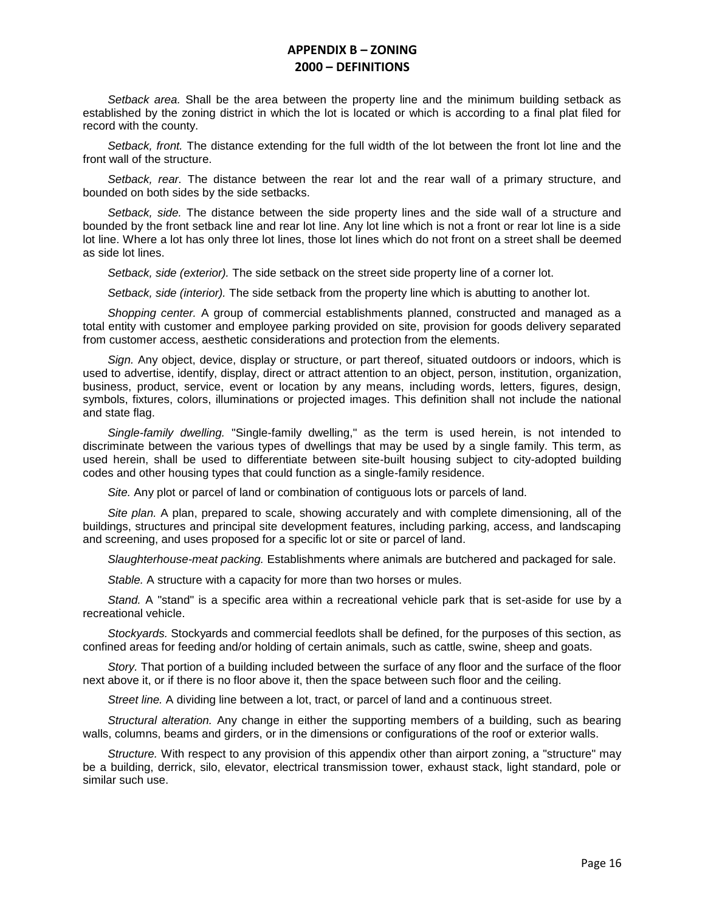*Setback area.* Shall be the area between the property line and the minimum building setback as established by the zoning district in which the lot is located or which is according to a final plat filed for record with the county.

*Setback, front.* The distance extending for the full width of the lot between the front lot line and the front wall of the structure.

*Setback, rear.* The distance between the rear lot and the rear wall of a primary structure, and bounded on both sides by the side setbacks.

*Setback, side.* The distance between the side property lines and the side wall of a structure and bounded by the front setback line and rear lot line. Any lot line which is not a front or rear lot line is a side lot line. Where a lot has only three lot lines, those lot lines which do not front on a street shall be deemed as side lot lines.

*Setback, side (exterior).* The side setback on the street side property line of a corner lot.

*Setback, side (interior).* The side setback from the property line which is abutting to another lot.

*Shopping center.* A group of commercial establishments planned, constructed and managed as a total entity with customer and employee parking provided on site, provision for goods delivery separated from customer access, aesthetic considerations and protection from the elements.

*Sign.* Any object, device, display or structure, or part thereof, situated outdoors or indoors, which is used to advertise, identify, display, direct or attract attention to an object, person, institution, organization, business, product, service, event or location by any means, including words, letters, figures, design, symbols, fixtures, colors, illuminations or projected images. This definition shall not include the national and state flag.

*Single-family dwelling.* "Single-family dwelling," as the term is used herein, is not intended to discriminate between the various types of dwellings that may be used by a single family. This term, as used herein, shall be used to differentiate between site-built housing subject to city-adopted building codes and other housing types that could function as a single-family residence.

*Site.* Any plot or parcel of land or combination of contiguous lots or parcels of land.

*Site plan.* A plan, prepared to scale, showing accurately and with complete dimensioning, all of the buildings, structures and principal site development features, including parking, access, and landscaping and screening, and uses proposed for a specific lot or site or parcel of land.

*Slaughterhouse-meat packing.* Establishments where animals are butchered and packaged for sale.

*Stable.* A structure with a capacity for more than two horses or mules.

*Stand.* A "stand" is a specific area within a recreational vehicle park that is set-aside for use by a recreational vehicle.

*Stockyards.* Stockyards and commercial feedlots shall be defined, for the purposes of this section, as confined areas for feeding and/or holding of certain animals, such as cattle, swine, sheep and goats.

*Story.* That portion of a building included between the surface of any floor and the surface of the floor next above it, or if there is no floor above it, then the space between such floor and the ceiling.

*Street line.* A dividing line between a lot, tract, or parcel of land and a continuous street.

*Structural alteration.* Any change in either the supporting members of a building, such as bearing walls, columns, beams and girders, or in the dimensions or configurations of the roof or exterior walls.

*Structure.* With respect to any provision of this appendix other than airport zoning, a "structure" may be a building, derrick, silo, elevator, electrical transmission tower, exhaust stack, light standard, pole or similar such use.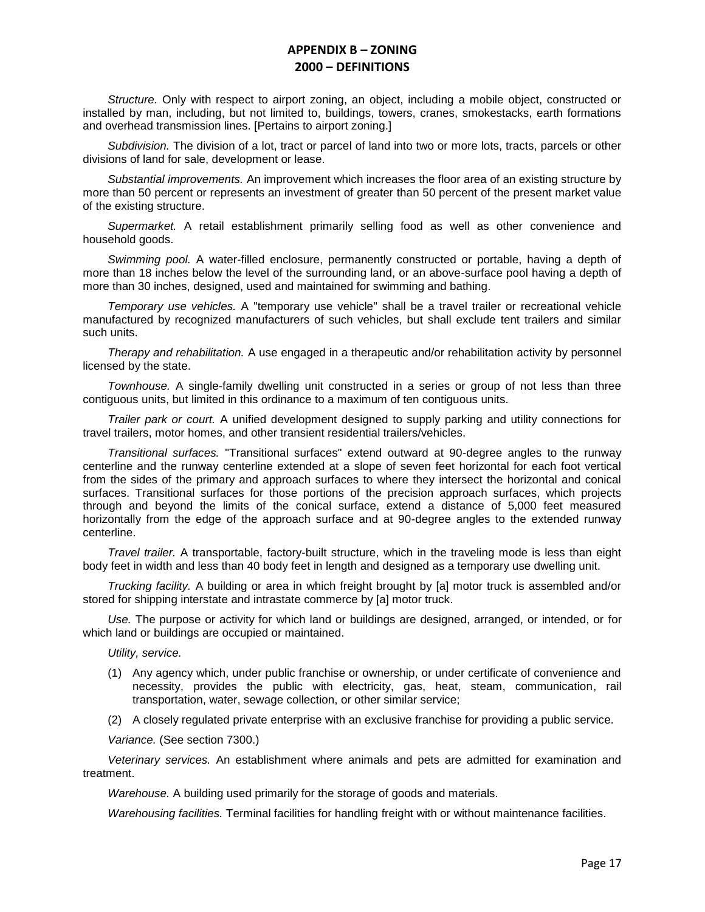*Structure.* Only with respect to airport zoning, an object, including a mobile object, constructed or installed by man, including, but not limited to, buildings, towers, cranes, smokestacks, earth formations and overhead transmission lines. [Pertains to airport zoning.]

*Subdivision.* The division of a lot, tract or parcel of land into two or more lots, tracts, parcels or other divisions of land for sale, development or lease.

*Substantial improvements.* An improvement which increases the floor area of an existing structure by more than 50 percent or represents an investment of greater than 50 percent of the present market value of the existing structure.

*Supermarket.* A retail establishment primarily selling food as well as other convenience and household goods.

*Swimming pool.* A water-filled enclosure, permanently constructed or portable, having a depth of more than 18 inches below the level of the surrounding land, or an above-surface pool having a depth of more than 30 inches, designed, used and maintained for swimming and bathing.

*Temporary use vehicles.* A "temporary use vehicle" shall be a travel trailer or recreational vehicle manufactured by recognized manufacturers of such vehicles, but shall exclude tent trailers and similar such units.

*Therapy and rehabilitation.* A use engaged in a therapeutic and/or rehabilitation activity by personnel licensed by the state.

*Townhouse.* A single-family dwelling unit constructed in a series or group of not less than three contiguous units, but limited in this ordinance to a maximum of ten contiguous units.

*Trailer park or court.* A unified development designed to supply parking and utility connections for travel trailers, motor homes, and other transient residential trailers/vehicles.

*Transitional surfaces.* "Transitional surfaces" extend outward at 90-degree angles to the runway centerline and the runway centerline extended at a slope of seven feet horizontal for each foot vertical from the sides of the primary and approach surfaces to where they intersect the horizontal and conical surfaces. Transitional surfaces for those portions of the precision approach surfaces, which projects through and beyond the limits of the conical surface, extend a distance of 5,000 feet measured horizontally from the edge of the approach surface and at 90-degree angles to the extended runway centerline.

*Travel trailer.* A transportable, factory-built structure, which in the traveling mode is less than eight body feet in width and less than 40 body feet in length and designed as a temporary use dwelling unit.

*Trucking facility.* A building or area in which freight brought by [a] motor truck is assembled and/or stored for shipping interstate and intrastate commerce by [a] motor truck.

*Use.* The purpose or activity for which land or buildings are designed, arranged, or intended, or for which land or buildings are occupied or maintained.

*Utility, service.*

- (1) Any agency which, under public franchise or ownership, or under certificate of convenience and necessity, provides the public with electricity, gas, heat, steam, communication, rail transportation, water, sewage collection, or other similar service;
- (2) A closely regulated private enterprise with an exclusive franchise for providing a public service.

*Variance.* (See section 7300.)

*Veterinary services.* An establishment where animals and pets are admitted for examination and treatment.

*Warehouse.* A building used primarily for the storage of goods and materials.

*Warehousing facilities.* Terminal facilities for handling freight with or without maintenance facilities.